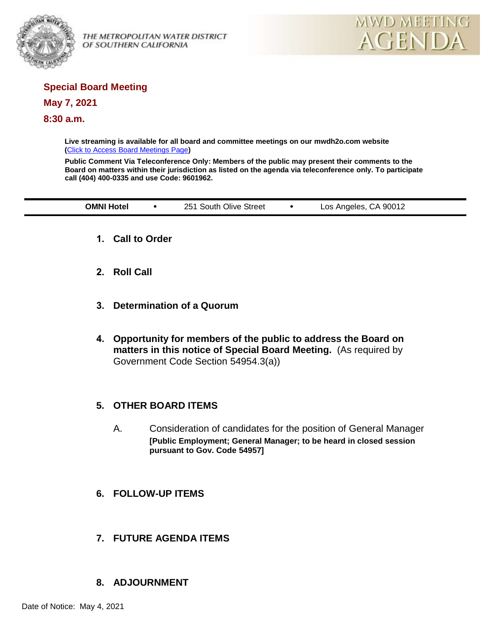

OF SOUTHERN CALIFORNIA



# **Special Board Meeting**

### **May 7, 2021**

### **8:30 a.m.**

**Live streaming is available for all board and committee meetings on our mwdh2o.com website (**[Click to Access Board Meetings Page](http://www.mwdh2o.com/WhoWeAre/Board/Board-Meeting/Pages/default.aspx)**)**

**Public Comment Via Teleconference Only: Members of the public may present their comments to the Board on matters within their jurisdiction as listed on the agenda via teleconference only. To participate call (404) 400-0335 and use Code: 9601962.**

| <b>SMNI</b><br>Hotel | $25^{\circ}$<br>Street<br>Jlive<br>.south<br>. | 90012<br>$\cdot$<br>Angeles<br><b>OS</b><br>. ۳<br>. |
|----------------------|------------------------------------------------|------------------------------------------------------|
|                      |                                                |                                                      |

- **1. Call to Order**
- **2. Roll Call**
- **3. Determination of a Quorum**
- **4. Opportunity for members of the public to address the Board on matters in this notice of Special Board Meeting.** (As required by Government Code Section 54954.3(a))

## **5. OTHER BOARD ITEMS**

- A. Consideration of candidates for the position of General Manager **[Public Employment; General Manager; to be heard in closed session pursuant to Gov. Code 54957]**
- **6. FOLLOW-UP ITEMS**
- **7. FUTURE AGENDA ITEMS**

## **8. ADJOURNMENT**